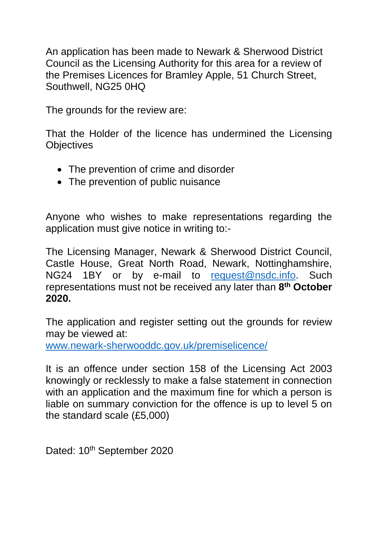An application has been made to Newark & Sherwood District Council as the Licensing Authority for this area for a review of the Premises Licences for Bramley Apple, 51 Church Street, Southwell, NG25 0HQ

The grounds for the review are:

That the Holder of the licence has undermined the Licensing **Objectives** 

- The prevention of crime and disorder
- The prevention of public nuisance

Anyone who wishes to make representations regarding the application must give notice in writing to:-

The Licensing Manager, Newark & Sherwood District Council, Castle House, Great North Road, Newark, Nottinghamshire, NG24 1BY or by e-mail to [request@nsdc.info.](mailto:request@nsdc.info) Such representations must not be received any later than **8 th October 2020.**

The application and register setting out the grounds for review may be viewed at:

[www.newark-sherwooddc.gov.uk/premiselicence/](http://www.newark-sherwooddc.gov.uk/premiselicence/)

It is an offence under section 158 of the Licensing Act 2003 knowingly or recklessly to make a false statement in connection with an application and the maximum fine for which a person is liable on summary conviction for the offence is up to level 5 on the standard scale (£5,000)

Dated: 10<sup>th</sup> September 2020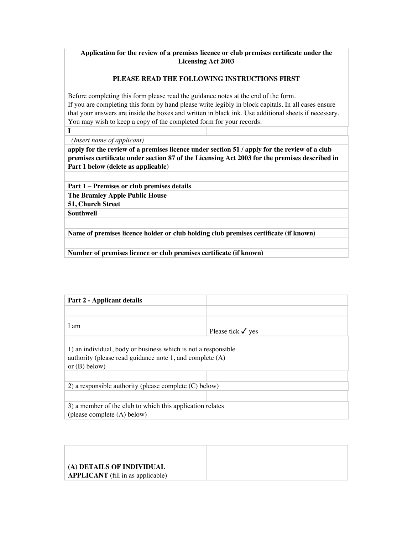## **Application for the review of a premises licence or club premises certificate under the Licensing Act 2003**

## **PLEASE READ THE FOLLOWING INSTRUCTIONS FIRST**

Before completing this form please read the guidance notes at the end of the form. If you are completing this form by hand please write legibly in block capitals. In all cases ensure that your answers are inside the boxes and written in black ink. Use additional sheets if necessary. You may wish to keep a copy of the completed form for your records.

**I**

 *(Insert name of applicant)*

**apply for the review of a premises licence under section 51 / apply for the review of a club premises certificate under section 87 of the Licensing Act 2003 for the premises described in Part 1 below (delete as applicable)**

**Part 1 – Premises or club premises details** 

**The Bramley Apple Public House** 

**51, Church Street**

**Southwell**

**Name of premises licence holder or club holding club premises certificate (if known)**

**Number of premises licence or club premises certificate (if known)** 

| <b>Part 2 - Applicant details</b>                                                                                                                |                              |
|--------------------------------------------------------------------------------------------------------------------------------------------------|------------------------------|
|                                                                                                                                                  |                              |
| I am                                                                                                                                             | Please tick $\checkmark$ yes |
| 1) an individual, body or business which is not a responsible<br>authority (please read guidance note 1, and complete $(A)$ )<br>or $(B)$ below) |                              |
|                                                                                                                                                  |                              |
| 2) a responsible authority (please complete $(C)$ below)                                                                                         |                              |
| 3) a member of the club to which this application relates<br>(please complete (A) below)                                                         |                              |

| (A) DETAILS OF INDIVIDUAL                |  |
|------------------------------------------|--|
| <b>APPLICANT</b> (fill in as applicable) |  |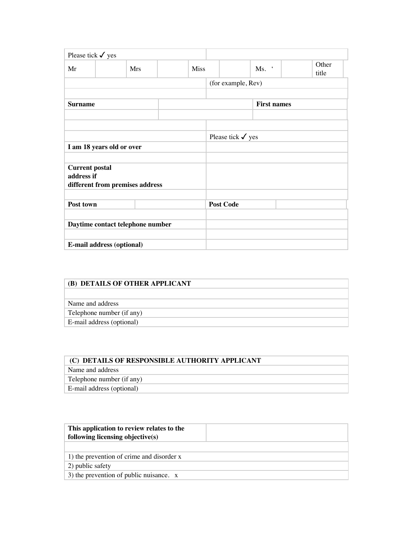| Please tick $\checkmark$ yes        |                                  |             |                              |                    |                |
|-------------------------------------|----------------------------------|-------------|------------------------------|--------------------|----------------|
| Mr                                  | <b>Mrs</b>                       | <b>Miss</b> |                              | Ms.                | Other<br>title |
|                                     |                                  |             |                              | (for example, Rev) |                |
| <b>Surname</b>                      |                                  |             |                              | <b>First names</b> |                |
|                                     | I am 18 years old or over        |             | Please tick $\checkmark$ yes |                    |                |
| <b>Current postal</b><br>address if | different from premises address  |             |                              |                    |                |
| Post town                           |                                  |             | <b>Post Code</b>             |                    |                |
|                                     | Daytime contact telephone number |             |                              |                    |                |
|                                     | E-mail address (optional)        |             |                              |                    |                |

| (B) DETAILS OF OTHER APPLICANT |  |
|--------------------------------|--|
|                                |  |
| Name and address               |  |
| Telephone number (if any)      |  |
| E-mail address (optional)      |  |

| (C) DETAILS OF RESPONSIBLE AUTHORITY APPLICANT |  |
|------------------------------------------------|--|
| Name and address                               |  |
| Telephone number (if any)                      |  |
| E-mail address (optional)                      |  |

| This application to review relates to the<br>following licensing objective(s) |  |
|-------------------------------------------------------------------------------|--|
| 1) the prevention of crime and disorder x                                     |  |
| 2) public safety                                                              |  |
| 3) the prevention of public nuisance. $x$                                     |  |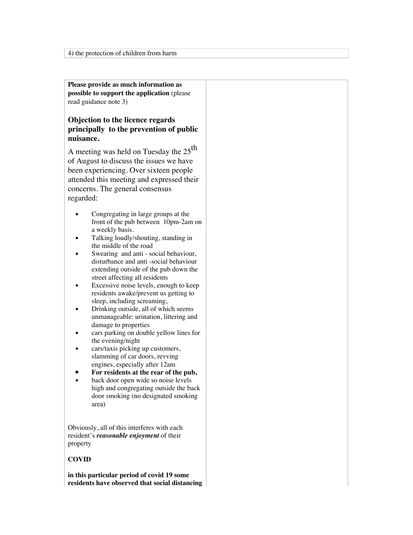**Please provide as much information as possible to support the application** (please read guidance note 3)

# **Objection to the licence regards principally to the prevention of public nuisance.**

A meeting was held on Tuesday the  $25<sup>th</sup>$ of August to discuss the issues we have been experiencing. Over sixteen people attended this meeting and expressed their concerns. The general consensus regarded:

- **•** Congregating in large groups at the front of the pub between 10pm-2am on a weekly basis.
- Talking loudly/shouting, standing in the middle of the road
- Swearing and anti social behaviour, disturbance and anti -social behaviour extending outside of the pub down the street affecting all residents
- Excessive noise levels, enough to keep residents awake/prevent us getting to sleep, including screaming,
- Drinking outside, all of which seems unmanageable: urination, littering and damage to properties
- cars parking on double yellow lines for the evening/night
- cars/taxis picking up customers, slamming of car doors, revving engines, especially after 12am
- **▪ For residents at the rear of the pub,**
- back door open wide so noise levels high and congregating outside the back door smoking (no designated smoking area)

Obviously, all of this interferes with each resident's *reasonable enjoyment* of their property

## **COVID**

**in this particular period of covid 19 some residents have observed that social distancing**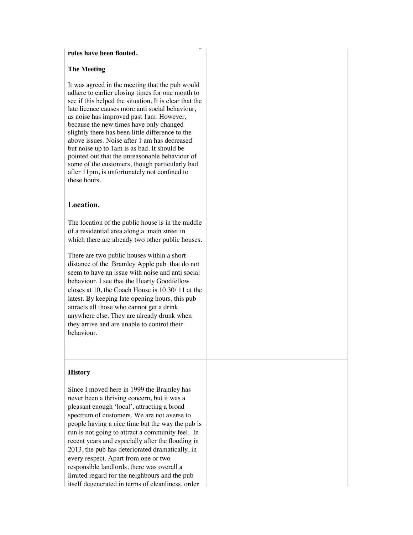#### **rules have been flouted.**

#### **The Meeting**

It was agreed in the meeting that the pub would adhere to earlier closing times for one month to see if this helped the situation. It is clear that the late licence causes more anti social behaviour, as noise has improved past 1am. However, because the new times have only changed slightly there has been little difference to the above issues. Noise after 1 am has decreased but noise up to 1am is as bad. It should be pointed out that the unreasonable behaviour of some of the customers, though particularly bad after 11pm, is unfortunately not confined to these hours.

**residents have observed that social distancing** 

# **Location.**

The location of the public house is in the middle of a residential area along a main street in which there are already two other public houses.

There are two public houses within a short distance of the Bramley Apple pub that do not seem to have an issue with noise and anti social behaviour. I see that the Hearty Goodfellow closes at 10, the Coach House is 10.30/ 11 at the latest. By keeping late opening hours, this pub attracts all those who cannot get a drink anywhere else. They are already drunk when they arrive and are unable to control their behaviour.

## **History**

Since I moved here in 1999 the Bramley has never been a thriving concern, but it was a pleasant enough 'local', attracting a broad spectrum of customers. We are not averse to people having a nice time but the way the pub is run is not going to attract a community feel. In recent years and especially after the flooding in 2013, the pub has deteriorated dramatically, in every respect. Apart from one or two responsible landlords, there was overall a limited regard for the neighbours and the pub itself degenerated in terms of cleanliness, order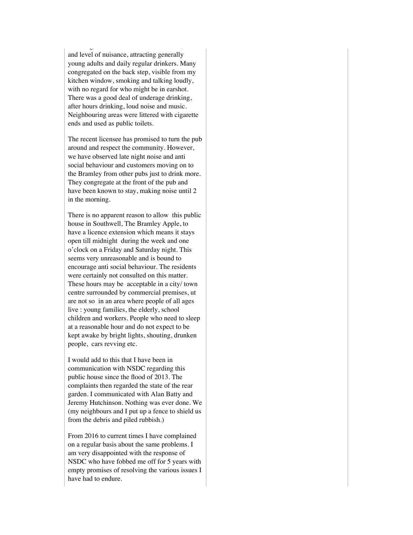itself degenerated in terms of cleanliness, order and level of nuisance, attracting generally young adults and daily regular drinkers. Many congregated on the back step, visible from my kitchen window, smoking and talking loudly, with no regard for who might be in earshot. There was a good deal of underage drinking, after hours drinking, loud noise and music. Neighbouring areas were littered with cigarette ends and used as public toilets.

The recent licensee has promised to turn the pub around and respect the community. However, we have observed late night noise and anti social behaviour and customers moving on to the Bramley from other pubs just to drink more. They congregate at the front of the pub and have been known to stay, making noise until 2 in the morning.

There is no apparent reason to allow this public house in Southwell, The Bramley Apple, to have a licence extension which means it stays open till midnight during the week and one o'clock on a Friday and Saturday night. This seems very unreasonable and is bound to encourage anti social behaviour. The residents were certainly not consulted on this matter. These hours may be acceptable in a city/ town centre surrounded by commercial premises, ut are not so in an area where people of all ages live : young families, the elderly, school children and workers. People who need to sleep at a reasonable hour and do not expect to be kept awake by bright lights, shouting, drunken people, cars revving etc.

I would add to this that I have been in communication with NSDC regarding this public house since the flood of 2013. The complaints then regarded the state of the rear garden. I communicated with Alan Batty and Jeremy Hutchinson. Nothing was ever done. We (my neighbours and I put up a fence to shield us from the debris and piled rubbish.)

From 2016 to current times I have complained on a regular basis about the same problems. I am very disappointed with the response of NSDC who have fobbed me off for 5 years with empty promises of resolving the various issues I have had to endure.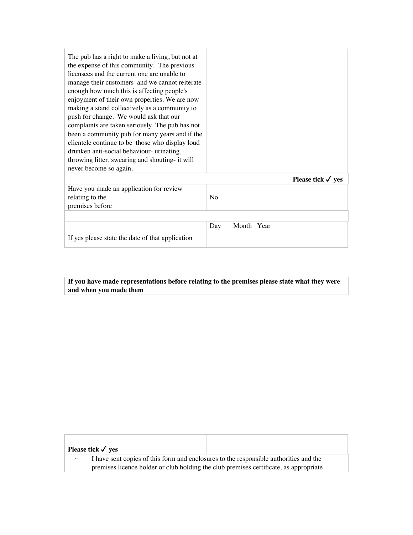| The pub has a right to make a living, but not at<br>the expense of this community. The previous<br>licensees and the current one are unable to<br>manage their customers and we cannot reiterate<br>enough how much this is affecting people's<br>enjoyment of their own properties. We are now<br>making a stand collectively as a community to<br>push for change. We would ask that our<br>complaints are taken seriously. The pub has not<br>been a community pub for many years and if the<br>clientele continue to be those who display loud<br>drunken anti-social behaviour- urinating,<br>throwing litter, swearing and shouting- it will<br>never become so again. |                   |
|------------------------------------------------------------------------------------------------------------------------------------------------------------------------------------------------------------------------------------------------------------------------------------------------------------------------------------------------------------------------------------------------------------------------------------------------------------------------------------------------------------------------------------------------------------------------------------------------------------------------------------------------------------------------------|-------------------|
|                                                                                                                                                                                                                                                                                                                                                                                                                                                                                                                                                                                                                                                                              | Please tick √ yes |
| Have you made an application for review<br>relating to the<br>premises before                                                                                                                                                                                                                                                                                                                                                                                                                                                                                                                                                                                                | N <sub>0</sub>    |
|                                                                                                                                                                                                                                                                                                                                                                                                                                                                                                                                                                                                                                                                              |                   |
| If yes please state the date of that application                                                                                                                                                                                                                                                                                                                                                                                                                                                                                                                                                                                                                             | Month Year<br>Day |

**If you have made representations before relating to the premises please state what they were and when you made them**

| Please tick $\checkmark$ yes                                                                                                                                                   |  |
|--------------------------------------------------------------------------------------------------------------------------------------------------------------------------------|--|
| I have sent copies of this form and enclosures to the responsible authorities and the<br>premises licence holder or club holding the club premises certificate, as appropriate |  |